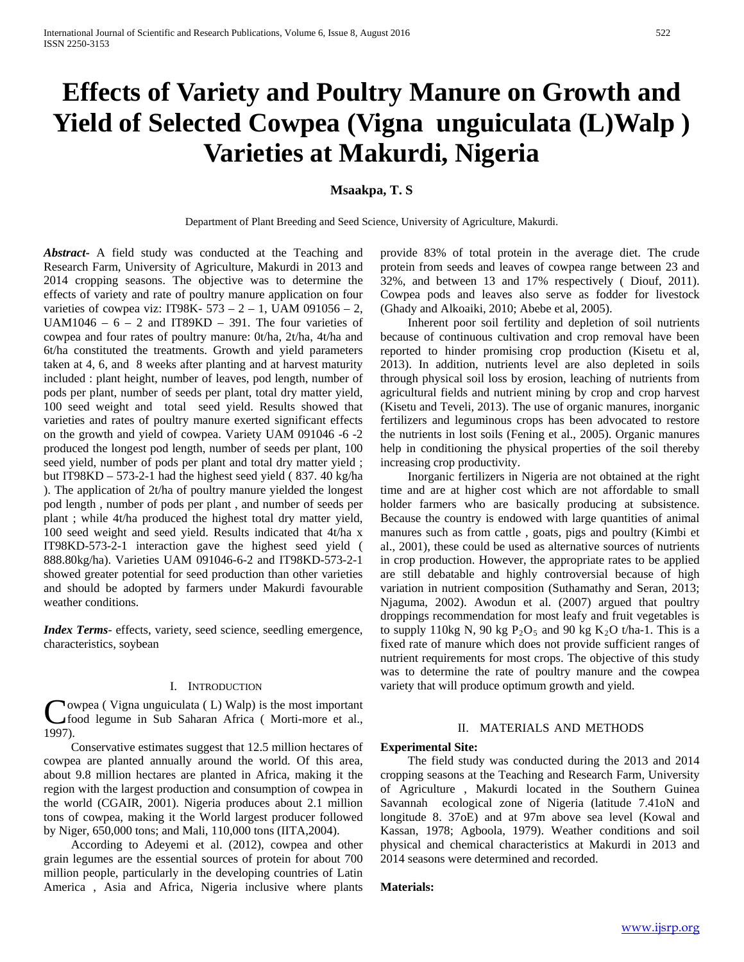# **Effects of Variety and Poultry Manure on Growth and Yield of Selected Cowpea (Vigna unguiculata (L)Walp ) Varieties at Makurdi, Nigeria**

# **Msaakpa, T. S**

Department of Plant Breeding and Seed Science, University of Agriculture, Makurdi.

*Abstract***-** A field study was conducted at the Teaching and Research Farm, University of Agriculture, Makurdi in 2013 and 2014 cropping seasons. The objective was to determine the effects of variety and rate of poultry manure application on four varieties of cowpea viz: IT98K-  $573 - 2 - 1$ , UAM 091056 - 2, UAM1046 –  $6 - 2$  and IT89KD – 391. The four varieties of cowpea and four rates of poultry manure: 0t/ha, 2t/ha, 4t/ha and 6t/ha constituted the treatments. Growth and yield parameters taken at 4, 6, and 8 weeks after planting and at harvest maturity included : plant height, number of leaves, pod length, number of pods per plant, number of seeds per plant, total dry matter yield, 100 seed weight and total seed yield. Results showed that varieties and rates of poultry manure exerted significant effects on the growth and yield of cowpea. Variety UAM 091046 -6 -2 produced the longest pod length, number of seeds per plant, 100 seed yield, number of pods per plant and total dry matter yield ; but IT98KD – 573-2-1 had the highest seed yield ( 837. 40 kg/ha ). The application of 2t/ha of poultry manure yielded the longest pod length , number of pods per plant , and number of seeds per plant ; while 4t/ha produced the highest total dry matter yield, 100 seed weight and seed yield. Results indicated that 4t/ha x IT98KD-573-2-1 interaction gave the highest seed yield ( 888.80kg/ha). Varieties UAM 091046-6-2 and IT98KD-573-2-1 showed greater potential for seed production than other varieties and should be adopted by farmers under Makurdi favourable weather conditions.

*Index Terms*- effects, variety, seed science, seedling emergence, characteristics, soybean

## I. INTRODUCTION

owpea ( Vigna unguiculata ( L) Walp) is the most important food legume in Sub Saharan Africa ( Morti-more et al.,  $\int_{f_0}^{f_0}$ 

 Conservative estimates suggest that 12.5 million hectares of cowpea are planted annually around the world. Of this area, about 9.8 million hectares are planted in Africa, making it the region with the largest production and consumption of cowpea in the world (CGAIR, 2001). Nigeria produces about 2.1 million tons of cowpea, making it the World largest producer followed by Niger, 650,000 tons; and Mali, 110,000 tons (IITA,2004).

 According to Adeyemi et al. (2012), cowpea and other grain legumes are the essential sources of protein for about 700 million people, particularly in the developing countries of Latin America , Asia and Africa, Nigeria inclusive where plants

provide 83% of total protein in the average diet. The crude protein from seeds and leaves of cowpea range between 23 and 32%, and between 13 and 17% respectively ( Diouf, 2011). Cowpea pods and leaves also serve as fodder for livestock (Ghady and Alkoaiki, 2010; Abebe et al, 2005).

 Inherent poor soil fertility and depletion of soil nutrients because of continuous cultivation and crop removal have been reported to hinder promising crop production (Kisetu et al, 2013). In addition, nutrients level are also depleted in soils through physical soil loss by erosion, leaching of nutrients from agricultural fields and nutrient mining by crop and crop harvest (Kisetu and Teveli, 2013). The use of organic manures, inorganic fertilizers and leguminous crops has been advocated to restore the nutrients in lost soils (Fening et al., 2005). Organic manures help in conditioning the physical properties of the soil thereby increasing crop productivity.

 Inorganic fertilizers in Nigeria are not obtained at the right time and are at higher cost which are not affordable to small holder farmers who are basically producing at subsistence. Because the country is endowed with large quantities of animal manures such as from cattle , goats, pigs and poultry (Kimbi et al., 2001), these could be used as alternative sources of nutrients in crop production. However, the appropriate rates to be applied are still debatable and highly controversial because of high variation in nutrient composition (Suthamathy and Seran, 2013; Njaguma, 2002). Awodun et al. (2007) argued that poultry droppings recommendation for most leafy and fruit vegetables is to supply 110kg N, 90 kg  $P_2O_5$  and 90 kg  $K_2O$  t/ha-1. This is a fixed rate of manure which does not provide sufficient ranges of nutrient requirements for most crops. The objective of this study was to determine the rate of poultry manure and the cowpea variety that will produce optimum growth and yield.

# II. MATERIALS AND METHODS

#### **Experimental Site:**

 The field study was conducted during the 2013 and 2014 cropping seasons at the Teaching and Research Farm, University of Agriculture , Makurdi located in the Southern Guinea Savannah ecological zone of Nigeria (latitude 7.41oN and longitude 8. 37oE) and at 97m above sea level (Kowal and Kassan, 1978; Agboola, 1979). Weather conditions and soil physical and chemical characteristics at Makurdi in 2013 and 2014 seasons were determined and recorded.

## **Materials:**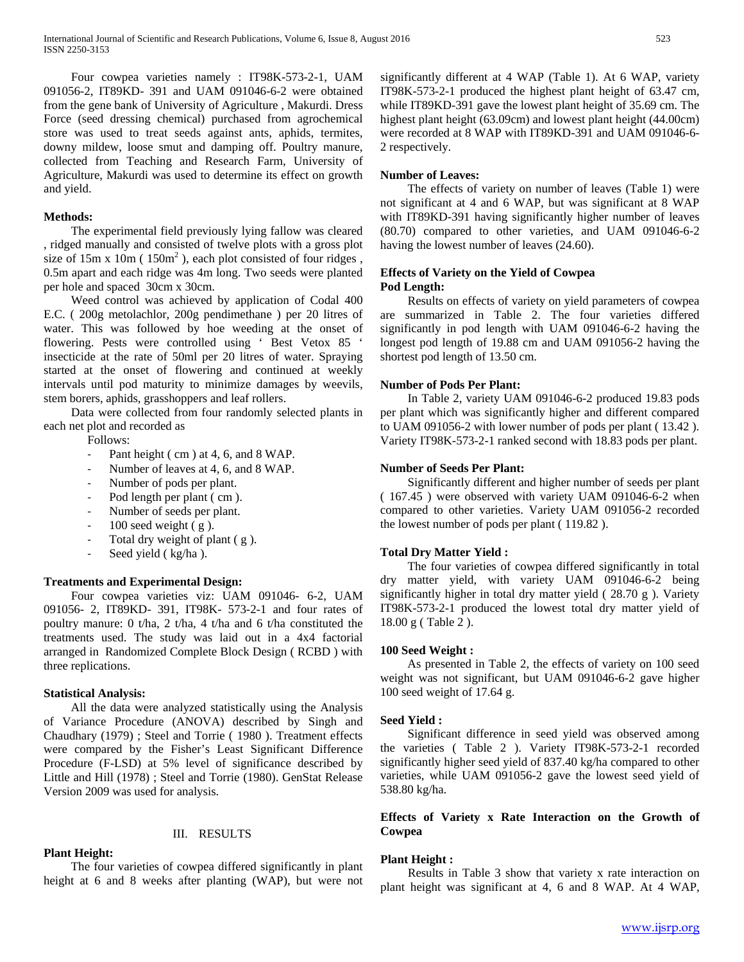Four cowpea varieties namely : IT98K-573-2-1, UAM 091056-2, IT89KD- 391 and UAM 091046-6-2 were obtained from the gene bank of University of Agriculture , Makurdi. Dress Force (seed dressing chemical) purchased from agrochemical store was used to treat seeds against ants, aphids, termites, downy mildew, loose smut and damping off. Poultry manure, collected from Teaching and Research Farm, University of Agriculture, Makurdi was used to determine its effect on growth and yield.

#### **Methods:**

 The experimental field previously lying fallow was cleared , ridged manually and consisted of twelve plots with a gross plot size of  $15m \times 10m$  ( $150m^2$ ), each plot consisted of four ridges, 0.5m apart and each ridge was 4m long. Two seeds were planted per hole and spaced 30cm x 30cm.

 Weed control was achieved by application of Codal 400 E.C. ( 200g metolachlor, 200g pendimethane ) per 20 litres of water. This was followed by hoe weeding at the onset of flowering. Pests were controlled using ' Best Vetox 85 ' insecticide at the rate of 50ml per 20 litres of water. Spraying started at the onset of flowering and continued at weekly intervals until pod maturity to minimize damages by weevils, stem borers, aphids, grasshoppers and leaf rollers.

 Data were collected from four randomly selected plants in each net plot and recorded as

Follows:

- Pant height (cm) at 4, 6, and 8 WAP.
- Number of leaves at 4, 6, and 8 WAP.
- Number of pods per plant.
- Pod length per plant (cm).
- Number of seeds per plant.
- $100$  seed weight  $(g)$ .
- Total dry weight of plant (g).
- Seed yield ( kg/ha ).

### **Treatments and Experimental Design:**

 Four cowpea varieties viz: UAM 091046- 6-2, UAM 091056- 2, IT89KD- 391, IT98K- 573-2-1 and four rates of poultry manure: 0 t/ha, 2 t/ha, 4 t/ha and 6 t/ha constituted the treatments used. The study was laid out in a 4x4 factorial arranged in Randomized Complete Block Design ( RCBD ) with three replications.

## **Statistical Analysis:**

 All the data were analyzed statistically using the Analysis of Variance Procedure (ANOVA) described by Singh and Chaudhary (1979) ; Steel and Torrie ( 1980 ). Treatment effects were compared by the Fisher's Least Significant Difference Procedure (F-LSD) at 5% level of significance described by Little and Hill (1978) ; Steel and Torrie (1980). GenStat Release Version 2009 was used for analysis.

## III. RESULTS

## **Plant Height:**

 The four varieties of cowpea differed significantly in plant height at 6 and 8 weeks after planting (WAP), but were not significantly different at 4 WAP (Table 1). At 6 WAP, variety IT98K-573-2-1 produced the highest plant height of 63.47 cm, while IT89KD-391 gave the lowest plant height of 35.69 cm. The highest plant height (63.09cm) and lowest plant height (44.00cm) were recorded at 8 WAP with IT89KD-391 and UAM 091046-6- 2 respectively.

#### **Number of Leaves:**

 The effects of variety on number of leaves (Table 1) were not significant at 4 and 6 WAP, but was significant at 8 WAP with IT89KD-391 having significantly higher number of leaves (80.70) compared to other varieties, and UAM 091046-6-2 having the lowest number of leaves (24.60).

## **Effects of Variety on the Yield of Cowpea Pod Length:**

 Results on effects of variety on yield parameters of cowpea are summarized in Table 2. The four varieties differed significantly in pod length with UAM 091046-6-2 having the longest pod length of 19.88 cm and UAM 091056-2 having the shortest pod length of 13.50 cm.

#### **Number of Pods Per Plant:**

 In Table 2, variety UAM 091046-6-2 produced 19.83 pods per plant which was significantly higher and different compared to UAM 091056-2 with lower number of pods per plant ( 13.42 ). Variety IT98K-573-2-1 ranked second with 18.83 pods per plant.

### **Number of Seeds Per Plant:**

 Significantly different and higher number of seeds per plant ( 167.45 ) were observed with variety UAM 091046-6-2 when compared to other varieties. Variety UAM 091056-2 recorded the lowest number of pods per plant ( 119.82 ).

## **Total Dry Matter Yield :**

 The four varieties of cowpea differed significantly in total dry matter yield, with variety UAM 091046-6-2 being significantly higher in total dry matter yield ( 28.70 g ). Variety IT98K-573-2-1 produced the lowest total dry matter yield of 18.00 g ( Table 2 ).

#### **100 Seed Weight :**

 As presented in Table 2, the effects of variety on 100 seed weight was not significant, but UAM 091046-6-2 gave higher 100 seed weight of 17.64 g.

#### **Seed Yield :**

 Significant difference in seed yield was observed among the varieties ( Table 2 ). Variety IT98K-573-2-1 recorded significantly higher seed yield of 837.40 kg/ha compared to other varieties, while UAM 091056-2 gave the lowest seed yield of 538.80 kg/ha.

# **Effects of Variety x Rate Interaction on the Growth of Cowpea**

#### **Plant Height :**

 Results in Table 3 show that variety x rate interaction on plant height was significant at 4, 6 and 8 WAP. At 4 WAP,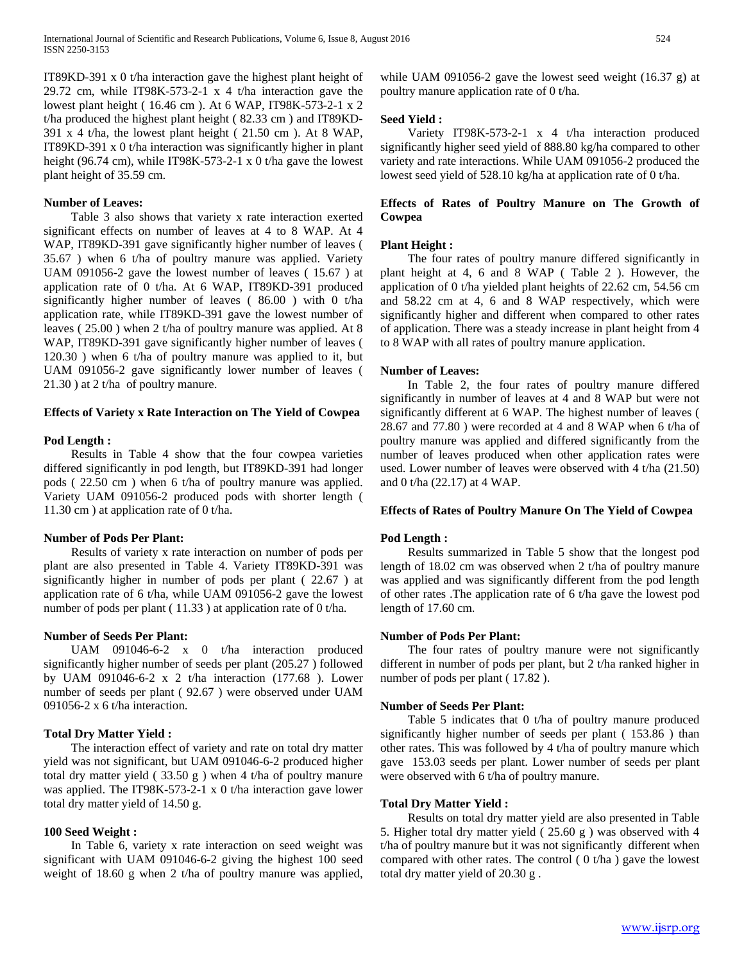IT89KD-391 x 0 t/ha interaction gave the highest plant height of 29.72 cm, while IT98K-573-2-1 x 4 t/ha interaction gave the lowest plant height ( 16.46 cm ). At 6 WAP, IT98K-573-2-1 x 2 t/ha produced the highest plant height ( 82.33 cm ) and IT89KD- $391 \times 4$  t/ha, the lowest plant height ( $21.50 \text{ cm}$ ). At 8 WAP, IT89KD-391 x 0 t/ha interaction was significantly higher in plant height (96.74 cm), while IT98K-573-2-1 x 0 t/ha gave the lowest plant height of 35.59 cm.

## **Number of Leaves:**

 Table 3 also shows that variety x rate interaction exerted significant effects on number of leaves at 4 to 8 WAP. At 4 WAP, IT89KD-391 gave significantly higher number of leaves ( 35.67 ) when 6 t/ha of poultry manure was applied. Variety UAM 091056-2 gave the lowest number of leaves ( 15.67 ) at application rate of 0 t/ha. At 6 WAP, IT89KD-391 produced significantly higher number of leaves ( 86.00 ) with 0 t/ha application rate, while IT89KD-391 gave the lowest number of leaves ( 25.00 ) when 2 t/ha of poultry manure was applied. At 8 WAP, IT89KD-391 gave significantly higher number of leaves ( 120.30 ) when 6 t/ha of poultry manure was applied to it, but UAM 091056-2 gave significantly lower number of leaves ( 21.30 ) at 2 t/ha of poultry manure.

#### **Effects of Variety x Rate Interaction on The Yield of Cowpea**

## **Pod Length :**

 Results in Table 4 show that the four cowpea varieties differed significantly in pod length, but IT89KD-391 had longer pods ( 22.50 cm ) when 6 t/ha of poultry manure was applied. Variety UAM 091056-2 produced pods with shorter length ( 11.30 cm ) at application rate of 0 t/ha.

#### **Number of Pods Per Plant:**

 Results of variety x rate interaction on number of pods per plant are also presented in Table 4. Variety IT89KD-391 was significantly higher in number of pods per plant ( 22.67 ) at application rate of 6 t/ha, while UAM 091056-2 gave the lowest number of pods per plant ( 11.33 ) at application rate of 0 t/ha.

## **Number of Seeds Per Plant:**

 UAM 091046-6-2 x 0 t/ha interaction produced significantly higher number of seeds per plant (205.27 ) followed by UAM 091046-6-2 x 2 t/ha interaction (177.68 ). Lower number of seeds per plant ( 92.67 ) were observed under UAM 091056-2 x 6 t/ha interaction.

## **Total Dry Matter Yield :**

 The interaction effect of variety and rate on total dry matter yield was not significant, but UAM 091046-6-2 produced higher total dry matter yield  $(33.50 \text{ g})$  when 4 t/ha of poultry manure was applied. The IT98K-573-2-1 x 0 t/ha interaction gave lower total dry matter yield of 14.50 g.

## **100 Seed Weight :**

 In Table 6, variety x rate interaction on seed weight was significant with UAM 091046-6-2 giving the highest 100 seed weight of 18.60 g when 2 t/ha of poultry manure was applied, while UAM 091056-2 gave the lowest seed weight (16.37 g) at poultry manure application rate of 0 t/ha.

# **Seed Yield :**

 Variety IT98K-573-2-1 x 4 t/ha interaction produced significantly higher seed yield of 888.80 kg/ha compared to other variety and rate interactions. While UAM 091056-2 produced the lowest seed yield of 528.10 kg/ha at application rate of 0 t/ha.

# **Effects of Rates of Poultry Manure on The Growth of Cowpea**

## **Plant Height :**

 The four rates of poultry manure differed significantly in plant height at 4, 6 and 8 WAP ( Table 2 ). However, the application of 0 t/ha yielded plant heights of 22.62 cm, 54.56 cm and 58.22 cm at 4, 6 and 8 WAP respectively, which were significantly higher and different when compared to other rates of application. There was a steady increase in plant height from 4 to 8 WAP with all rates of poultry manure application.

## **Number of Leaves:**

 In Table 2, the four rates of poultry manure differed significantly in number of leaves at 4 and 8 WAP but were not significantly different at 6 WAP. The highest number of leaves ( 28.67 and 77.80 ) were recorded at 4 and 8 WAP when 6 t/ha of poultry manure was applied and differed significantly from the number of leaves produced when other application rates were used. Lower number of leaves were observed with 4 t/ha (21.50) and 0 t/ha (22.17) at 4 WAP.

#### **Effects of Rates of Poultry Manure On The Yield of Cowpea**

#### **Pod Length :**

 Results summarized in Table 5 show that the longest pod length of 18.02 cm was observed when 2 t/ha of poultry manure was applied and was significantly different from the pod length of other rates .The application rate of 6 t/ha gave the lowest pod length of 17.60 cm.

#### **Number of Pods Per Plant:**

 The four rates of poultry manure were not significantly different in number of pods per plant, but 2 t/ha ranked higher in number of pods per plant  $(17.82)$ .

#### **Number of Seeds Per Plant:**

 Table 5 indicates that 0 t/ha of poultry manure produced significantly higher number of seeds per plant ( 153.86 ) than other rates. This was followed by 4 t/ha of poultry manure which gave 153.03 seeds per plant. Lower number of seeds per plant were observed with 6 t/ha of poultry manure.

#### **Total Dry Matter Yield :**

 Results on total dry matter yield are also presented in Table 5. Higher total dry matter yield ( 25.60 g ) was observed with 4 t/ha of poultry manure but it was not significantly different when compared with other rates. The control  $( 0 t/ha )$  gave the lowest total dry matter yield of 20.30 g .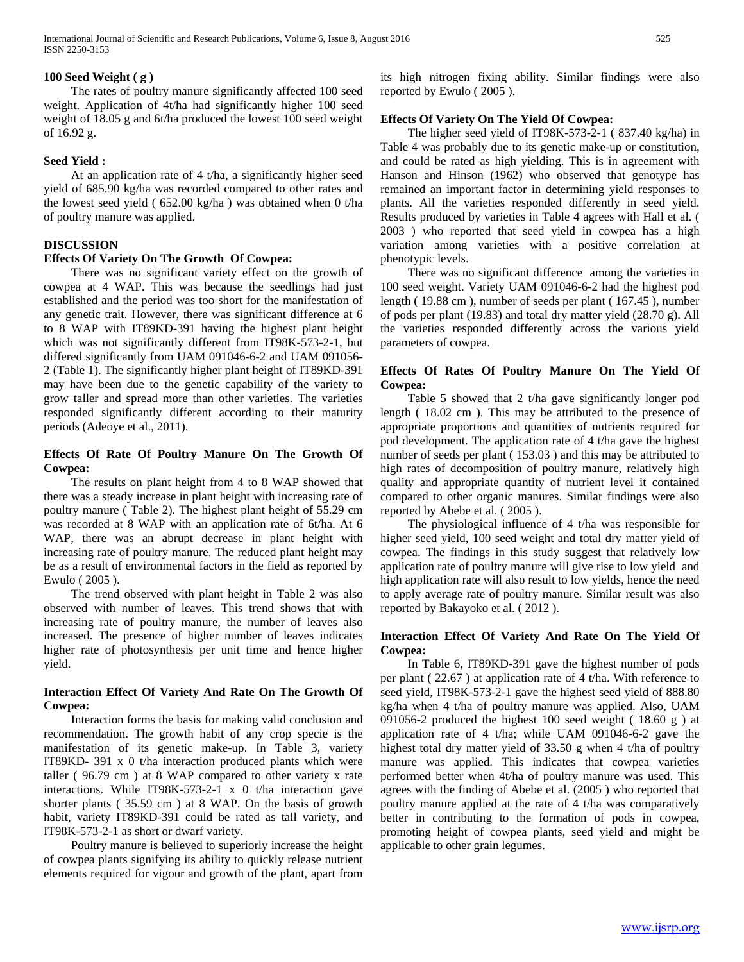# **100 Seed Weight ( g )**

 The rates of poultry manure significantly affected 100 seed weight. Application of 4t/ha had significantly higher 100 seed weight of 18.05 g and 6t/ha produced the lowest 100 seed weight of 16.92 g.

## **Seed Yield :**

 At an application rate of 4 t/ha, a significantly higher seed yield of 685.90 kg/ha was recorded compared to other rates and the lowest seed yield ( 652.00 kg/ha ) was obtained when 0 t/ha of poultry manure was applied.

# **DISCUSSION**

## **Effects Of Variety On The Growth Of Cowpea:**

 There was no significant variety effect on the growth of cowpea at 4 WAP. This was because the seedlings had just established and the period was too short for the manifestation of any genetic trait. However, there was significant difference at 6 to 8 WAP with IT89KD-391 having the highest plant height which was not significantly different from IT98K-573-2-1, but differed significantly from UAM 091046-6-2 and UAM 091056- 2 (Table 1). The significantly higher plant height of IT89KD-391 may have been due to the genetic capability of the variety to grow taller and spread more than other varieties. The varieties responded significantly different according to their maturity periods (Adeoye et al., 2011).

# **Effects Of Rate Of Poultry Manure On The Growth Of Cowpea:**

 The results on plant height from 4 to 8 WAP showed that there was a steady increase in plant height with increasing rate of poultry manure ( Table 2). The highest plant height of 55.29 cm was recorded at 8 WAP with an application rate of 6t/ha. At 6 WAP, there was an abrupt decrease in plant height with increasing rate of poultry manure. The reduced plant height may be as a result of environmental factors in the field as reported by Ewulo ( 2005 ).

 The trend observed with plant height in Table 2 was also observed with number of leaves. This trend shows that with increasing rate of poultry manure, the number of leaves also increased. The presence of higher number of leaves indicates higher rate of photosynthesis per unit time and hence higher yield.

# **Interaction Effect Of Variety And Rate On The Growth Of Cowpea:**

 Interaction forms the basis for making valid conclusion and recommendation. The growth habit of any crop specie is the manifestation of its genetic make-up. In Table 3, variety IT89KD- 391 x 0 t/ha interaction produced plants which were taller ( 96.79 cm ) at 8 WAP compared to other variety x rate interactions. While IT98K-573-2-1 x 0 t/ha interaction gave shorter plants ( 35.59 cm ) at 8 WAP. On the basis of growth habit, variety IT89KD-391 could be rated as tall variety, and IT98K-573-2-1 as short or dwarf variety.

 Poultry manure is believed to superiorly increase the height of cowpea plants signifying its ability to quickly release nutrient elements required for vigour and growth of the plant, apart from its high nitrogen fixing ability. Similar findings were also reported by Ewulo ( 2005 ).

# **Effects Of Variety On The Yield Of Cowpea:**

 The higher seed yield of IT98K-573-2-1 ( 837.40 kg/ha) in Table 4 was probably due to its genetic make-up or constitution, and could be rated as high yielding. This is in agreement with Hanson and Hinson (1962) who observed that genotype has remained an important factor in determining yield responses to plants. All the varieties responded differently in seed yield. Results produced by varieties in Table 4 agrees with Hall et al. ( 2003 ) who reported that seed yield in cowpea has a high variation among varieties with a positive correlation at phenotypic levels.

 There was no significant difference among the varieties in 100 seed weight. Variety UAM 091046-6-2 had the highest pod length ( 19.88 cm ), number of seeds per plant ( 167.45 ), number of pods per plant (19.83) and total dry matter yield (28.70 g). All the varieties responded differently across the various yield parameters of cowpea.

# **Effects Of Rates Of Poultry Manure On The Yield Of Cowpea:**

 Table 5 showed that 2 t/ha gave significantly longer pod length ( 18.02 cm ). This may be attributed to the presence of appropriate proportions and quantities of nutrients required for pod development. The application rate of 4 t/ha gave the highest number of seeds per plant ( 153.03 ) and this may be attributed to high rates of decomposition of poultry manure, relatively high quality and appropriate quantity of nutrient level it contained compared to other organic manures. Similar findings were also reported by Abebe et al. ( 2005 ).

 The physiological influence of 4 t/ha was responsible for higher seed yield, 100 seed weight and total dry matter yield of cowpea. The findings in this study suggest that relatively low application rate of poultry manure will give rise to low yield and high application rate will also result to low yields, hence the need to apply average rate of poultry manure. Similar result was also reported by Bakayoko et al. ( 2012 ).

## **Interaction Effect Of Variety And Rate On The Yield Of Cowpea:**

 In Table 6, IT89KD-391 gave the highest number of pods per plant ( 22.67 ) at application rate of 4 t/ha. With reference to seed yield, IT98K-573-2-1 gave the highest seed yield of 888.80 kg/ha when 4 t/ha of poultry manure was applied. Also, UAM 091056-2 produced the highest 100 seed weight ( 18.60 g ) at application rate of 4 t/ha; while UAM 091046-6-2 gave the highest total dry matter yield of 33.50 g when 4 t/ha of poultry manure was applied. This indicates that cowpea varieties performed better when 4t/ha of poultry manure was used. This agrees with the finding of Abebe et al. (2005 ) who reported that poultry manure applied at the rate of 4 t/ha was comparatively better in contributing to the formation of pods in cowpea, promoting height of cowpea plants, seed yield and might be applicable to other grain legumes.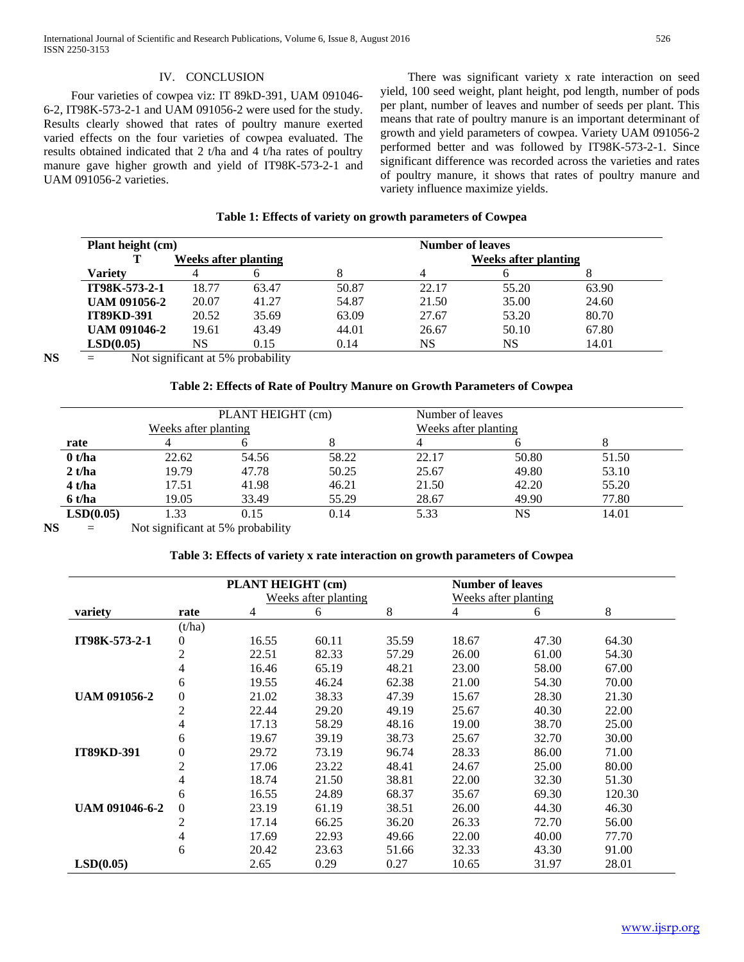# IV. CONCLUSION

 Four varieties of cowpea viz: IT 89kD-391, UAM 091046- 6-2, IT98K-573-2-1 and UAM 091056-2 were used for the study. Results clearly showed that rates of poultry manure exerted varied effects on the four varieties of cowpea evaluated. The results obtained indicated that 2 t/ha and 4 t/ha rates of poultry manure gave higher growth and yield of IT98K-573-2-1 and UAM 091056-2 varieties.

 There was significant variety x rate interaction on seed yield, 100 seed weight, plant height, pod length, number of pods per plant, number of leaves and number of seeds per plant. This means that rate of poultry manure is an important determinant of growth and yield parameters of cowpea. Variety UAM 091056-2 performed better and was followed by IT98K-573-2-1. Since significant difference was recorded across the varieties and rates of poultry manure, it shows that rates of poultry manure and variety influence maximize yields.

# **Table 1: Effects of variety on growth parameters of Cowpea**

| Plant height (cm) |       | <b>Number of leaves</b>     |       |       |       |  |  |  |
|-------------------|-------|-----------------------------|-------|-------|-------|--|--|--|
|                   |       | Weeks after planting        |       |       |       |  |  |  |
|                   |       |                             |       |       |       |  |  |  |
| 18.77             | 63.47 | 50.87                       | 22.17 | 55.20 | 63.90 |  |  |  |
| 20.07             | 41.27 | 54.87                       | 21.50 | 35.00 | 24.60 |  |  |  |
| 20.52             | 35.69 | 63.09                       | 27.67 | 53.20 | 80.70 |  |  |  |
| 19.61             | 43.49 | 44.01                       | 26.67 | 50.10 | 67.80 |  |  |  |
| NS.               | 0.15  | 0.14                        | NS    | NS    | 14.01 |  |  |  |
|                   |       | <b>Weeks after planting</b> |       |       |       |  |  |  |

**NS** = Not significant at 5% probability

## **Table 2: Effects of Rate of Poultry Manure on Growth Parameters of Cowpea**

|           | Weeks after planting | PLANT HEIGHT (cm) |       | Number of leaves<br>Weeks after planting |       |       |  |  |
|-----------|----------------------|-------------------|-------|------------------------------------------|-------|-------|--|--|
| rate      |                      |                   |       |                                          |       |       |  |  |
| 0 t/ha    | 22.62                | 54.56             | 58.22 | 22.17                                    | 50.80 | 51.50 |  |  |
| 2 t/ha    | 19.79                | 47.78             | 50.25 | 25.67                                    | 49.80 | 53.10 |  |  |
| $4$ t/ha  | 17.51                | 41.98             | 46.21 | 21.50                                    | 42.20 | 55.20 |  |  |
| $6$ t/ha  | 19.05                | 33.49             | 55.29 | 28.67                                    | 49.90 | 77.80 |  |  |
| LSD(0.05) | 1.33                 | 0.15              | 0.14  | 5.33                                     | NS    | 14.01 |  |  |

**NS** = Not significant at 5% probability

## **Table 3: Effects of variety x rate interaction on growth parameters of Cowpea**

|                       |                  | PLANT HEIGHT (cm) |                      |       | <b>Number of leaves</b> |                      |        |  |
|-----------------------|------------------|-------------------|----------------------|-------|-------------------------|----------------------|--------|--|
|                       |                  |                   | Weeks after planting |       |                         | Weeks after planting |        |  |
| variety               | rate             | 4                 | 6                    | 8     | 4                       | 6                    | 8      |  |
|                       | (t/ha)           |                   |                      |       |                         |                      |        |  |
| IT98K-573-2-1         | $\boldsymbol{0}$ | 16.55             | 60.11                | 35.59 | 18.67                   | 47.30                | 64.30  |  |
|                       | $\overline{2}$   | 22.51             | 82.33                | 57.29 | 26.00                   | 61.00                | 54.30  |  |
|                       | 4                | 16.46             | 65.19                | 48.21 | 23.00                   | 58.00                | 67.00  |  |
|                       | 6                | 19.55             | 46.24                | 62.38 | 21.00                   | 54.30                | 70.00  |  |
| <b>UAM 091056-2</b>   | $\theta$         | 21.02             | 38.33                | 47.39 | 15.67                   | 28.30                | 21.30  |  |
|                       | $\overline{c}$   | 22.44             | 29.20                | 49.19 | 25.67                   | 40.30                | 22.00  |  |
|                       | 4                | 17.13             | 58.29                | 48.16 | 19.00                   | 38.70                | 25.00  |  |
|                       | 6                | 19.67             | 39.19                | 38.73 | 25.67                   | 32.70                | 30.00  |  |
| <b>IT89KD-391</b>     | $\theta$         | 29.72             | 73.19                | 96.74 | 28.33                   | 86.00                | 71.00  |  |
|                       | $\overline{c}$   | 17.06             | 23.22                | 48.41 | 24.67                   | 25.00                | 80.00  |  |
|                       | 4                | 18.74             | 21.50                | 38.81 | 22.00                   | 32.30                | 51.30  |  |
|                       | 6                | 16.55             | 24.89                | 68.37 | 35.67                   | 69.30                | 120.30 |  |
| <b>UAM 091046-6-2</b> | $\boldsymbol{0}$ | 23.19             | 61.19                | 38.51 | 26.00                   | 44.30                | 46.30  |  |
|                       | $\boldsymbol{2}$ | 17.14             | 66.25                | 36.20 | 26.33                   | 72.70                | 56.00  |  |
|                       | 4                | 17.69             | 22.93                | 49.66 | 22.00                   | 40.00                | 77.70  |  |
|                       | 6                | 20.42             | 23.63                | 51.66 | 32.33                   | 43.30                | 91.00  |  |
| LSD(0.05)             |                  | 2.65              | 0.29                 | 0.27  | 10.65                   | 31.97                | 28.01  |  |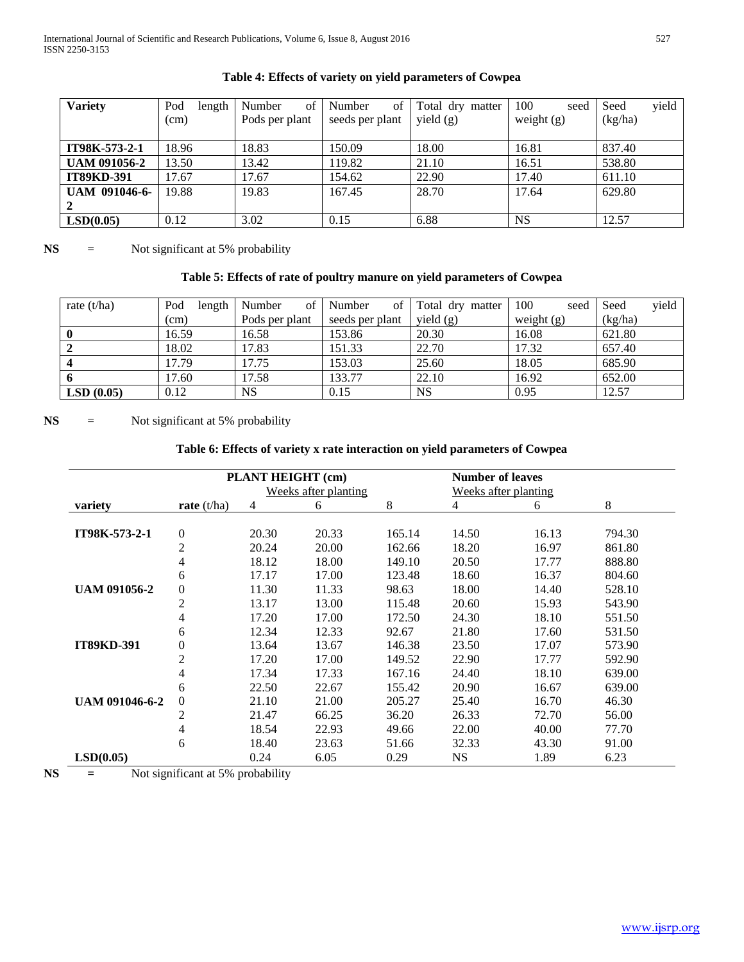| <b>Variety</b>       | Pod<br>length | of<br>Number   | of<br>Number    | Total dry matter | 100<br>seed  | yield<br>Seed |
|----------------------|---------------|----------------|-----------------|------------------|--------------|---------------|
|                      | (cm)          | Pods per plant | seeds per plant | yield $(g)$      | weight $(g)$ | (kg/ha)       |
|                      |               |                |                 |                  |              |               |
| IT98K-573-2-1        | 18.96         | 18.83          | 150.09          | 18.00            | 16.81        | 837.40        |
| <b>UAM 091056-2</b>  | 13.50         | 13.42          | 119.82          | 21.10            | 16.51        | 538.80        |
| <b>IT89KD-391</b>    | 17.67         | 17.67          | 154.62          | 22.90            | 17.40        | 611.10        |
| <b>UAM 091046-6-</b> | 19.88         | 19.83          | 167.45          | 28.70            | 17.64        | 629.80        |
|                      |               |                |                 |                  |              |               |
| LSD(0.05)            | 0.12          | 3.02           | 0.15            | 6.88             | <b>NS</b>    | 12.57         |

# **Table 4: Effects of variety on yield parameters of Cowpea**

**NS** = Not significant at 5% probability

# **Table 5: Effects of rate of poultry manure on yield parameters of Cowpea**

| rate $(t/ha)$           | Pod<br>length | of<br>Number   | οf<br>Number    | Total dry matter | 100<br>seed  | vield<br>Seed |
|-------------------------|---------------|----------------|-----------------|------------------|--------------|---------------|
|                         | (cm)          | Pods per plant | seeds per plant | yield $(g)$      | weight $(g)$ | (kg/ha)       |
|                         | 16.59         | 16.58          | 153.86          | 20.30            | 16.08        | 621.80        |
|                         | 18.02         | 17.83          | 151.33          | 22.70            | 17.32        | 657.40        |
| $\overline{\mathbf{4}}$ | 17.79         | 17.75          | 153.03          | 25.60            | 18.05        | 685.90        |
| 6                       | 17.60         | 17.58          | 133.77          | 22.10            | 16.92        | 652.00        |
| LSD(0.05)               | 0.12          | <b>NS</b>      | 0.15            | NS               | 0.95         | 12.57         |

**NS** = Not significant at 5% probability

# **Table 6: Effects of variety x rate interaction on yield parameters of Cowpea**

|                       |                  | PLANT HEIGHT (cm) |                      |        | <b>Number of leaves</b> |                      |        |
|-----------------------|------------------|-------------------|----------------------|--------|-------------------------|----------------------|--------|
|                       |                  |                   | Weeks after planting |        |                         | Weeks after planting |        |
| variety               | rate $(t/ha)$    | $\overline{4}$    | 6                    | 8      | 4                       | 6                    | 8      |
| IT98K-573-2-1         | $\boldsymbol{0}$ | 20.30             | 20.33                | 165.14 | 14.50                   | 16.13                | 794.30 |
|                       | $\overline{2}$   | 20.24             | 20.00                | 162.66 | 18.20                   | 16.97                | 861.80 |
|                       | 4                | 18.12             | 18.00                | 149.10 | 20.50                   | 17.77                | 888.80 |
|                       | 6                | 17.17             | 17.00                | 123.48 | 18.60                   | 16.37                | 804.60 |
| <b>UAM 091056-2</b>   | $\boldsymbol{0}$ | 11.30             | 11.33                | 98.63  | 18.00                   | 14.40                | 528.10 |
|                       | $\overline{2}$   | 13.17             | 13.00                | 115.48 | 20.60                   | 15.93                | 543.90 |
|                       | 4                | 17.20             | 17.00                | 172.50 | 24.30                   | 18.10                | 551.50 |
|                       | 6                | 12.34             | 12.33                | 92.67  | 21.80                   | 17.60                | 531.50 |
| <b>IT89KD-391</b>     | $\overline{0}$   | 13.64             | 13.67                | 146.38 | 23.50                   | 17.07                | 573.90 |
|                       | $\overline{2}$   | 17.20             | 17.00                | 149.52 | 22.90                   | 17.77                | 592.90 |
|                       | 4                | 17.34             | 17.33                | 167.16 | 24.40                   | 18.10                | 639.00 |
|                       | 6                | 22.50             | 22.67                | 155.42 | 20.90                   | 16.67                | 639.00 |
| <b>UAM 091046-6-2</b> | $\boldsymbol{0}$ | 21.10             | 21.00                | 205.27 | 25.40                   | 16.70                | 46.30  |
|                       | $\overline{2}$   | 21.47             | 66.25                | 36.20  | 26.33                   | 72.70                | 56.00  |
|                       | 4                | 18.54             | 22.93                | 49.66  | 22.00                   | 40.00                | 77.70  |
|                       | 6                | 18.40             | 23.63                | 51.66  | 32.33                   | 43.30                | 91.00  |
| LSD(0.05)             |                  | 0.24              | 6.05                 | 0.29   | <b>NS</b>               | 1.89                 | 6.23   |

**NS =** Not significant at 5% probability